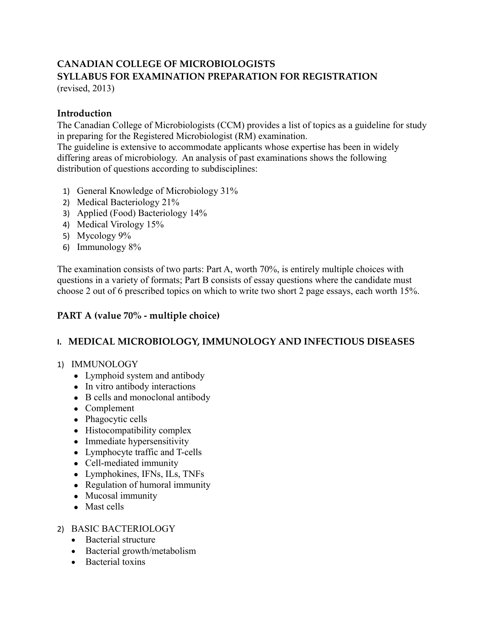### **CANADIAN COLLEGE OF MICROBIOLOGISTS SYLLABUS FOR EXAMINATION PREPARATION FOR REGISTRATION** (revised, 2013)

**Introduction**

The Canadian College of Microbiologists (CCM) provides a list of topics as a guideline for study in preparing for the Registered Microbiologist (RM) examination.

The guideline is extensive to accommodate applicants whose expertise has been in widely differing areas of microbiology. An analysis of past examinations shows the following distribution of questions according to subdisciplines:

- 1) General Knowledge of Microbiology 31%
- 2) Medical Bacteriology 21%
- 3) Applied (Food) Bacteriology 14%
- 4) Medical Virology 15%
- 5) Mycology 9%
- 6) Immunology 8%

The examination consists of two parts: Part A, worth 70%, is entirely multiple choices with questions in a variety of formats; Part B consists of essay questions where the candidate must choose 2 out of 6 prescribed topics on which to write two short 2 page essays, each worth 15%.

### **PART A (value 70% - multiple choice)**

### **I. MEDICAL MICROBIOLOGY, IMMUNOLOGY AND INFECTIOUS DISEASES**

#### 1) IMMUNOLOGY

- Lymphoid system and antibody
- In vitro antibody interactions
- B cells and monoclonal antibody
- Complement
- Phagocytic cells
- Histocompatibility complex
- Immediate hypersensitivity
- Lymphocyte traffic and T-cells
- Cell-mediated immunity
- Lymphokines, IFNs, ILs, TNFs
- Regulation of humoral immunity
- Mucosal immunity
- Mast cells

#### 2) BASIC BACTERIOLOGY

- Bacterial structure
- Bacterial growth/metabolism
- Bacterial toxins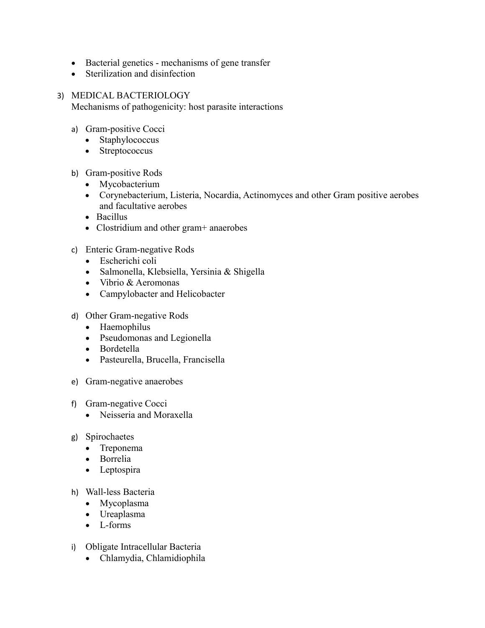- Bacterial genetics mechanisms of gene transfer
- Sterilization and disinfection
- 3) MEDICAL BACTERIOLOGY Mechanisms of pathogenicity: host parasite interactions
	- a) Gram-positive Cocci
		- Staphylococcus
		- Streptococcus
	- b) Gram-positive Rods
		- Mycobacterium
		- Corynebacterium, Listeria, Nocardia, Actinomyces and other Gram positive aerobes and facultative aerobes
		- Bacillus
		- Clostridium and other gram+ anaerobes
	- c) Enteric Gram-negative Rods
		- Escherichi coli
		- Salmonella, Klebsiella, Yersinia & Shigella
		- Vibrio & Aeromonas
		- Campylobacter and Helicobacter
	- d) Other Gram-negative Rods
		- Haemophilus
		- Pseudomonas and Legionella
		- Bordetella
		- Pasteurella, Brucella, Francisella
	- e) Gram-negative anaerobes
	- f) Gram-negative Cocci
		- Neisseria and Moraxella
	- g) Spirochaetes
		- Treponema
		- Borrelia
		- Leptospira
	- h) Wall-less Bacteria
		- Mycoplasma
		- Ureaplasma
		- L-forms
	- i) Obligate Intracellular Bacteria
		- Chlamydia, Chlamidiophila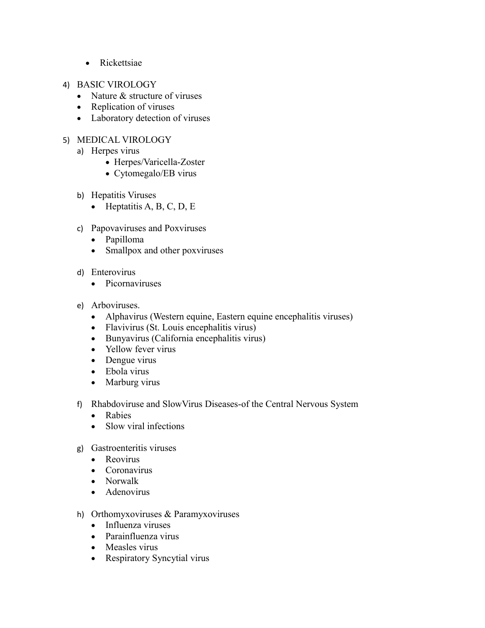- Rickettsiae
- 4) BASIC VIROLOGY
	- Nature & structure of viruses
	- Replication of viruses
	- Laboratory detection of viruses
- 5) MEDICAL VIROLOGY
	- a) Herpes virus
		- Herpes/Varicella-Zoster
		- Cytomegalo/EB virus
	- b) Hepatitis Viruses
		- $\bullet$  Heptatitis A, B, C, D, E
	- c) Papovaviruses and Poxviruses
		- Papilloma
		- Smallpox and other poxviruses
	- d) Enterovirus
		- Picornaviruses
	- e) Arboviruses.
		- Alphavirus (Western equine, Eastern equine encephalitis viruses)
		- Flavivirus (St. Louis encephalitis virus)
		- Bunyavirus (California encephalitis virus)
		- Yellow fever virus
		- Dengue virus
		- Ebola virus
		- Marburg virus
	- f) Rhabdoviruse and SlowVirus Diseases-of the Central Nervous System
		- Rabies
		- Slow viral infections
	- g) Gastroenteritis viruses
		- Reovirus
		- Coronavirus
		- Norwalk
		- Adenovirus
	- h) Orthomyxoviruses & Paramyxoviruses
		- Influenza viruses
		- Parainfluenza virus
		- Measles virus
		- Respiratory Syncytial virus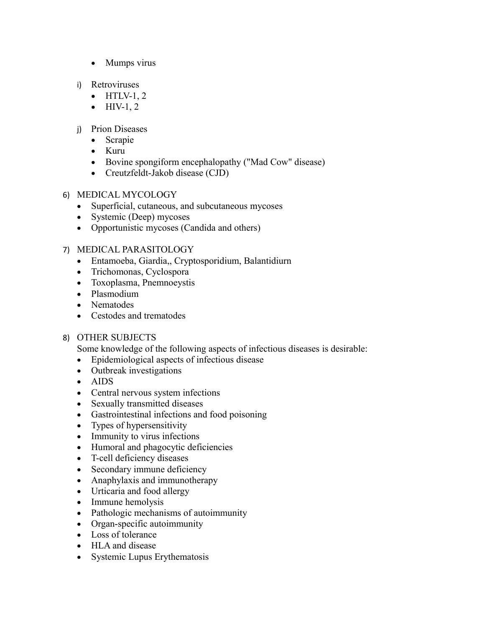- Mumps virus
- i) Retroviruses
	- $\bullet$  HTLV-1, 2
	- $\bullet$  HIV-1, 2
- j) Prion Diseases
	- Scrapie
	- Kuru
	- Bovine spongiform encephalopathy ("Mad Cow" disease)
	- Creutzfeldt-Jakob disease (CJD)

### 6) MEDICAL MYCOLOGY

- Superficial, cutaneous, and subcutaneous mycoses
- Systemic (Deep) mycoses
- Opportunistic mycoses (Candida and others)

### 7) MEDICAL PARASITOLOGY

- Entamoeba, Giardia,, Cryptosporidium, Balantidiurn
- Trichomonas, Cyclospora
- Toxoplasma, Pnemnoeystis
- Plasmodium
- Nematodes
- Cestodes and trematodes

### 8) OTHER SUBJECTS

Some knowledge of the following aspects of infectious diseases is desirable:

- Epidemiological aspects of infectious disease
- Outbreak investigations
- AIDS
- Central nervous system infections
- Sexually transmitted diseases
- Gastrointestinal infections and food poisoning
- Types of hypersensitivity
- Immunity to virus infections
- Humoral and phagocytic deficiencies
- T-cell deficiency diseases
- Secondary immune deficiency
- Anaphylaxis and immunotherapy
- Urticaria and food allergy
- Immune hemolysis
- Pathologic mechanisms of autoimmunity
- Organ-specific autoimmunity
- Loss of tolerance
- HLA and disease
- Systemic Lupus Erythematosis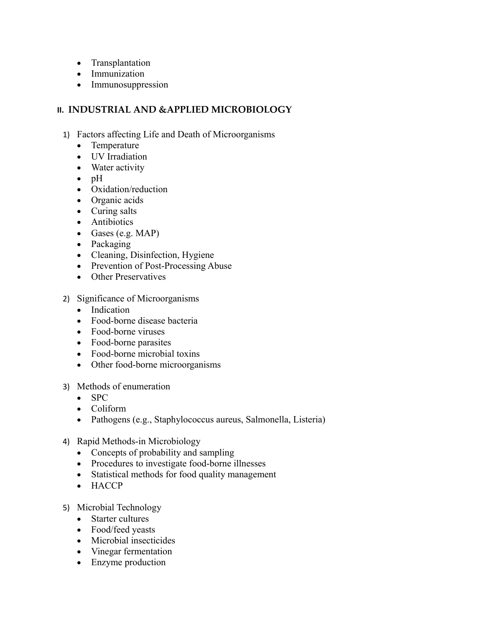- Transplantation
- Immunization
- Immunosuppression

### **II. INDUSTRIAL AND &APPLIED MICROBIOLOGY**

- 1) Factors affecting Life and Death of Microorganisms
	- Temperature
	- UV Irradiation
	- Water activity
	- $\bullet$  pH
	- Oxidation/reduction
	- Organic acids
	- Curing salts
	- Antibiotics
	- Gases (e.g.  $MAP$ )
	- Packaging
	- Cleaning, Disinfection, Hygiene
	- Prevention of Post-Processing Abuse
	- Other Preservatives
- 2) Significance of Microorganisms
	- Indication
	- Food-borne disease bacteria
	- Food-borne viruses
	- Food-borne parasites
	- Food-borne microbial toxins
	- Other food-borne microorganisms
- 3) Methods of enumeration
	- $\bullet$  SPC
	- Coliform
	- Pathogens (e.g., Staphylococcus aureus, Salmonella, Listeria)
- 4) Rapid Methods-in Microbiology
	- Concepts of probability and sampling
	- Procedures to investigate food-borne illnesses
	- Statistical methods for food quality management
	- HACCP
- 5) Microbial Technology
	- Starter cultures
	- Food/feed yeasts
	- Microbial insecticides
	- Vinegar fermentation
	- Enzyme production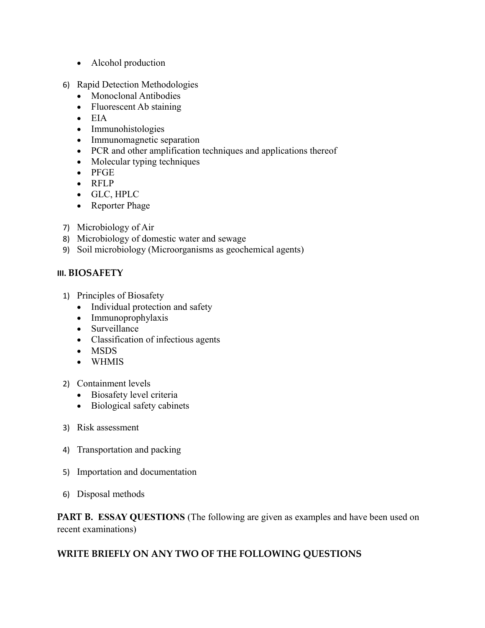- Alcohol production
- 6) Rapid Detection Methodologies
	- Monoclonal Antibodies
	- Fluorescent Ab staining
	- $\bullet$  EIA
	- Immunohistologies
	- Immunomagnetic separation
	- PCR and other amplification techniques and applications thereof
	- Molecular typing techniques
	- PFGE
	- RFLP
	- GLC, HPLC
	- Reporter Phage
- 7) Microbiology of Air
- 8) Microbiology of domestic water and sewage
- 9) Soil microbiology (Microorganisms as geochemical agents)

### **III. BIOSAFETY**

- 1) Principles of Biosafety
	- Individual protection and safety
	- Immunoprophylaxis
	- Surveillance
	- Classification of infectious agents
	- MSDS
	- WHMIS
- 2) Containment levels
	- Biosafety level criteria
	- Biological safety cabinets
- 3) Risk assessment
- 4) Transportation and packing
- 5) Importation and documentation
- 6) Disposal methods

**PART B. ESSAY QUESTIONS** (The following are given as examples and have been used on recent examinations)

## **WRITE BRIEFLY ON ANY TWO OF THE FOLLOWING QUESTIONS**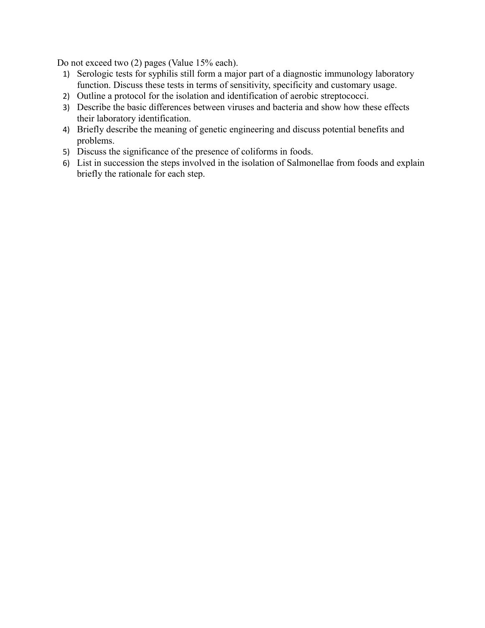Do not exceed two (2) pages (Value 15% each).

- 1) Serologic tests for syphilis still form a major part of a diagnostic immunology laboratory function. Discuss these tests in terms of sensitivity, specificity and customary usage.
- 2) Outline a protocol for the isolation and identification of aerobic streptococci.
- 3) Describe the basic differences between viruses and bacteria and show how these effects their laboratory identification.
- 4) Briefly describe the meaning of genetic engineering and discuss potential benefits and problems.
- 5) Discuss the significance of the presence of coliforms in foods.
- 6) List in succession the steps involved in the isolation of Salmonellae from foods and explain briefly the rationale for each step.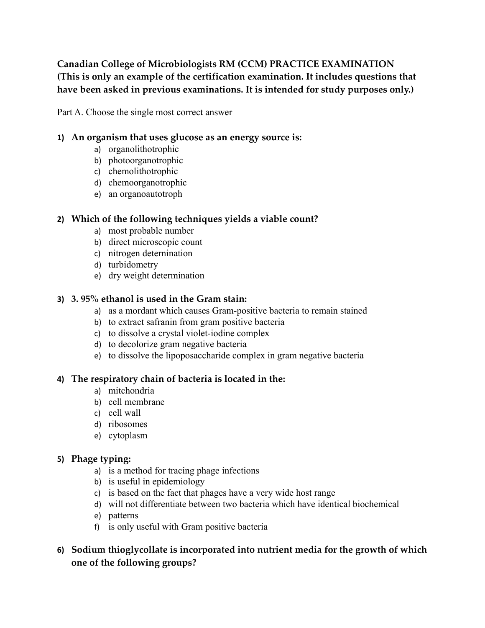# **Canadian College of Microbiologists RM (CCM) PRACTICE EXAMINATION (This is only an example of the certification examination. It includes questions that have been asked in previous examinations. It is intended for study purposes only.)**

Part A. Choose the single most correct answer

### **1) An organism that uses glucose as an energy source is:**

- a) organolithotrophic
- b) photoorganotrophic
- c) chemolithotrophic
- d) chemoorganotrophic
- e) an organoautotroph

### **2) Which of the following techniques yields a viable count?**

- a) most probable number
- b) direct microscopic count
- c) nitrogen deternination
- d) turbidometry
- e) dry weight determination

### **3) 3. 95% ethanol is used in the Gram stain:**

- a) as a mordant which causes Gram-positive bacteria to remain stained
- b) to extract safranin from gram positive bacteria
- c) to dissolve a crystal violet-iodine complex
- d) to decolorize gram negative bacteria
- e) to dissolve the lipoposaccharide complex in gram negative bacteria

### **4) The respiratory chain of bacteria is located in the:**

- a) mitchondria
- b) cell membrane
- c) cell wall
- d) ribosomes
- e) cytoplasm

## **5) Phage typing:**

- a) is a method for tracing phage infections
- b) is useful in epidemiology
- c) is based on the fact that phages have a very wide host range
- d) will not differentiate between two bacteria which have identical biochemical
- e) patterns
- f) is only useful with Gram positive bacteria
- **6) Sodium thioglycollate is incorporated into nutrient media for the growth of which one of the following groups?**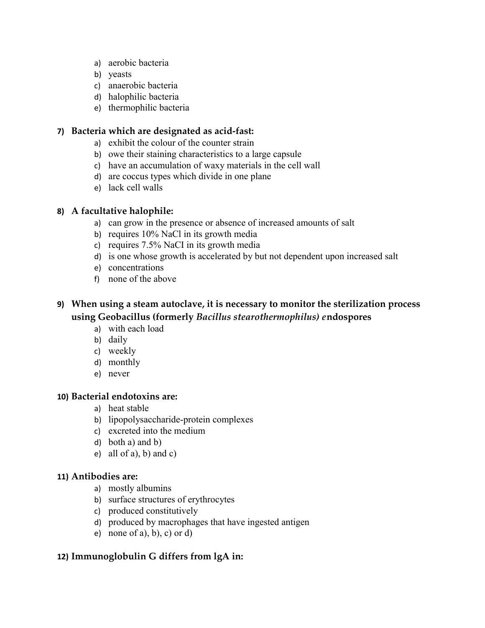- a) aerobic bacteria
- b) yeasts
- c) anaerobic bacteria
- d) halophilic bacteria
- e) thermophilic bacteria

#### **7) Bacteria which are designated as acid-fast:**

- a) exhibit the colour of the counter strain
- b) owe their staining characteristics to a large capsule
- c) have an accumulation of waxy materials in the cell wall
- d) are coccus types which divide in one plane
- e) lack cell walls

#### **8) A facultative halophile:**

- a) can grow in the presence or absence of increased amounts of salt
- b) requires 10% NaCl in its growth media
- c) requires 7.5% NaCI in its growth media
- d) is one whose growth is accelerated by but not dependent upon increased salt
- e) concentrations
- f) none of the above

# **9) When using a steam autoclave, it is necessary to monitor the sterilization process using Geobacillus (formerly** *Bacillus stearothermophilus) e***ndospores**

- a) with each load
- b) daily
- c) weekly
- d) monthly
- e) never

# **10) Bacterial endotoxins are:**

- a) heat stable
- b) lipopolysaccharide-protein complexes
- c) excreted into the medium
- d) both a) and b)
- e) all of a), b) and c)

### **11) Antibodies are:**

- a) mostly albumins
- b) surface structures of erythrocytes
- c) produced constitutively
- d) produced by macrophages that have ingested antigen
- e) none of a), b), c) or d)

## **12) Immunoglobulin G differs from lgA in:**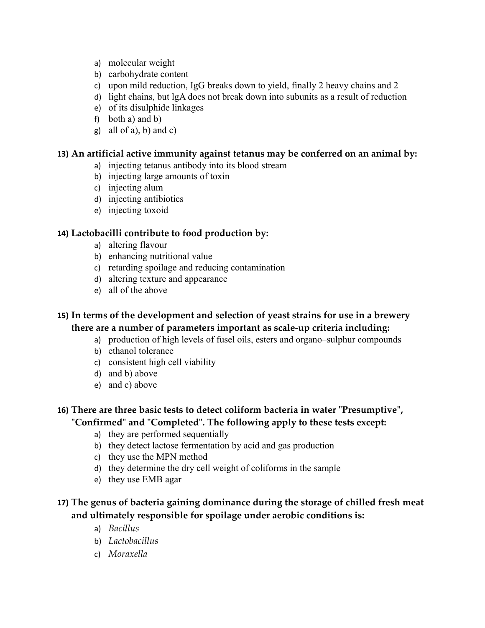- a) molecular weight
- b) carbohydrate content
- c) upon mild reduction, IgG breaks down to yield, finally 2 heavy chains and 2
- d) light chains, but lgA does not break down into subunits as a result of reduction
- e) of its disulphide linkages
- f) both a) and b)
- g) all of a), b) and c)

#### **13) An artificial active immunity against tetanus may be conferred on an animal by:**

- a) injecting tetanus antibody into its blood stream
- b) injecting large amounts of toxin
- c) injecting alum
- d) injecting antibiotics
- e) injecting toxoid

### **14) Lactobacilli contribute to food production by:**

- a) altering flavour
- b) enhancing nutritional value
- c) retarding spoilage and reducing contamination
- d) altering texture and appearance
- e) all of the above

## **15) In terms of the development and selection of yeast strains for use in a brewery there are a number of parameters important as scale-up criteria including:**

- a) production of high levels of fusel oils, esters and organo–sulphur compounds
- b) ethanol tolerance
- c) consistent high cell viability
- d) and b) above
- e) and c) above

## **16) There are three basic tests to detect coliform bacteria in water "Presumptive", "Confirmed" and "Completed". The following apply to these tests except:**

- a) they are performed sequentially
- b) they detect lactose fermentation by acid and gas production
- c) they use the MPN method
- d) they determine the dry cell weight of coliforms in the sample
- e) they use EMB agar

# **17) The genus of bacteria gaining dominance during the storage of chilled fresh meat and ultimately responsible for spoilage under aerobic conditions is:**

- a) *Bacillus*
- b) *Lactobacillus*
- c) *Moraxella*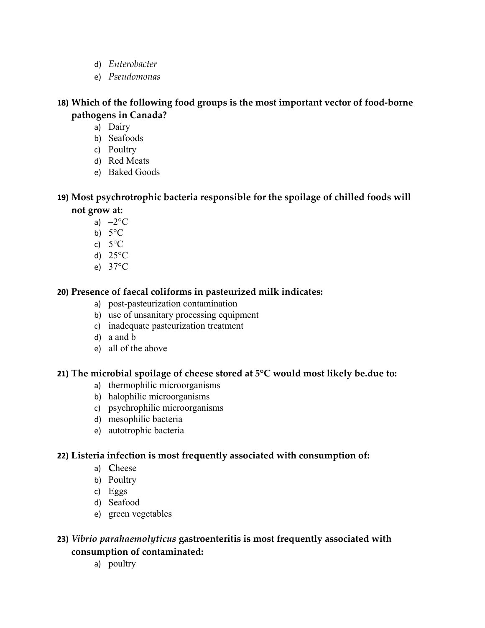- d) *Enterobacter*
- e) *Pseudomonas*

**18) Which of the following food groups is the most important vector of food-borne pathogens in Canada?**

- a) Dairy
- b) Seafoods
- c) Poultry
- d) Red Meats
- e) Baked Goods

**19) Most psychrotrophic bacteria responsible for the spoilage of chilled foods will not grow at:**

- a)  $-2$ <sup>o</sup>C
- b)  $5^{\circ}$ C
- c)  $5^{\circ}$ C
- d) 25°C
- e) 37°C

# **20) Presence of faecal coliforms in pasteurized milk indicates:**

- a) post-pasteurization contamination
- b) use of unsanitary processing equipment
- c) inadequate pasteurization treatment
- d) a and b
- e) all of the above

## **21) The microbial spoilage of cheese stored at 5°C would most likely be.due to:**

- a) thermophilic microorganisms
- b) halophilic microorganisms
- c) psychrophilic microorganisms
- d) mesophilic bacteria
- e) autotrophic bacteria

## **22) Listeria infection is most frequently associated with consumption of:**

- a) **C**heese
- b) Poultry
- c) Eggs
- d) Seafood
- e) green vegetables

## **23)** *Vibrio parahaemolyticus* **gastroenteritis is most frequently associated with consumption of contaminated:**

a) poultry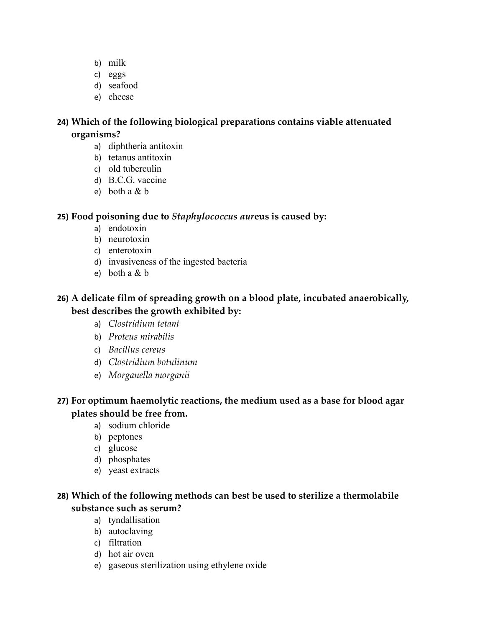- b) milk
- c) eggs
- d) seafood
- e) cheese

# **24) Which of the following biological preparations contains viable attenuated organisms?**

- a) diphtheria antitoxin
- b) tetanus antitoxin
- c) old tuberculin
- d) B.C.G. vaccine
- e) both a  $&$  b

## **25) Food poisoning due to** *Staphylococcus aur***eus is caused by:**

- a) endotoxin
- b) neurotoxin
- c) enterotoxin
- d) invasiveness of the ingested bacteria
- e) both a & b

# **26) A delicate film of spreading growth on a blood plate, incubated anaerobically, best describes the growth exhibited by:**

- a) *Clostridium tetani*
- b) *Proteus mirabilis*
- c) *Bacillus cereus*
- d) *Clostridium botulinum*
- e) *Morganella morganii*

# **27) For optimum haemolytic reactions, the medium used as a base for blood agar plates should be free from.**

- a) sodium chloride
- b) peptones
- c) glucose
- d) phosphates
- e) yeast extracts

# **28) Which of the following methods can best be used to sterilize a thermolabile substance such as serum?**

- a) tyndallisation
- b) autoclaving
- c) filtration
- d) hot air oven
- e) gaseous sterilization using ethylene oxide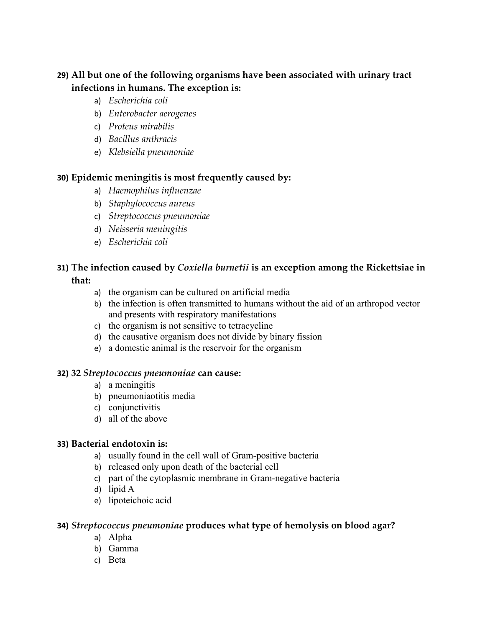# **29) All but one of the following organisms have been associated with urinary tract infections in humans. The exception is:**

- a) *Escherichia coli*
- b) *Enterobacter aerogenes*
- c) *Proteus mirabilis*
- d) *Bacillus anthracis*
- e) *Klebsiella pneumoniae*

### **30) Epidemic meningitis is most frequently caused by:**

- a) *Haemophilus influenzae*
- b) *Staphylococcus aureus*
- c) *Streptococcus pneumoniae*
- d) *Neisseria meningitis*
- e) *Escherichia coli*

# **31) The infection caused by** *Coxiella burnetii* **is an exception among the Rickettsiae in that:**

- a) the organism can be cultured on artificial media
- b) the infection is often transmitted to humans without the aid of an arthropod vector and presents with respiratory manifestations
- c) the organism is not sensitive to tetracycline
- d) the causative organism does not divide by binary fission
- e) a domestic animal is the reservoir for the organism

### **32) 32** *Streptococcus pneumoniae* **can cause:**

- a) a meningitis
- b) pneumoniaotitis media
- c) conjunctivitis
- d) all of the above

### **33) Bacterial endotoxin is:**

- a) usually found in the cell wall of Gram-positive bacteria
- b) released only upon death of the bacterial cell
- c) part of the cytoplasmic membrane in Gram-negative bacteria
- d) lipid A
- e) lipoteichoic acid

### **34)** *Streptococcus pneumoniae* **produces what type of hemolysis on blood agar?**

- a) Alpha
- b) Gamma
- c) Beta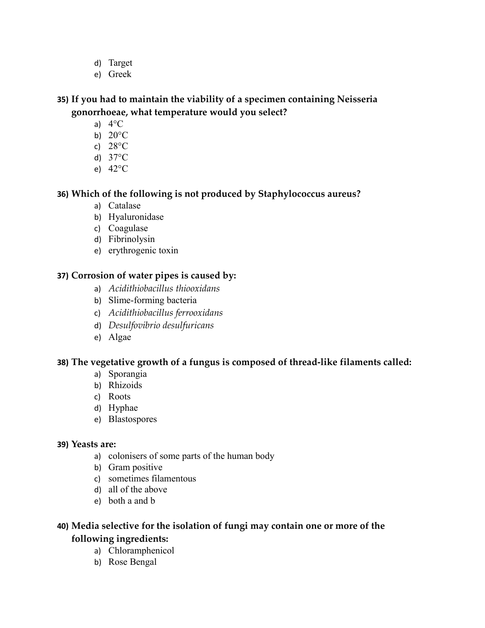- d) Target
- e) Greek

## **35) If you had to maintain the viability of a specimen containing Neisseria gonorrhoeae, what temperature would you select?**

- a)  $4^{\circ}$ C
- b) 20°C
- c) 28°C
- d) 37°C
- e) 42°C

## **36) Which of the following is not produced by Staphylococcus aureus?**

- a) Catalase
- b) Hyaluronidase
- c) Coagulase
- d) Fibrinolysin
- e) erythrogenic toxin

### **37) Corrosion of water pipes is caused by:**

- a) *Acidithiobacillus thiooxidans*
- b) Slime-forming bacteria
- c) *Acidithiobacillus ferrooxidans*
- d) *Desulfovibrio desulfuricans*
- e) Algae

## **38) The vegetative growth of a fungus is composed of thread-like filaments called:**

- a) Sporangia
- b) Rhizoids
- c) Roots
- d) Hyphae
- e) Blastospores

### **39) Yeasts are:**

- a) colonisers of some parts of the human body
- b) Gram positive
- c) sometimes filamentous
- d) all of the above
- e) both a and b

## **40) Media selective for the isolation of fungi may contain one or more of the following ingredients:**

- a) Chloramphenicol
- b) Rose Bengal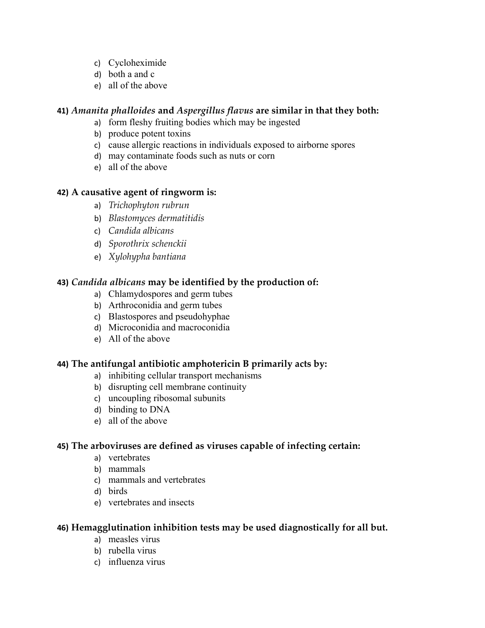- c) Cycloheximide
- d) both a and c
- e) all of the above

### **41)** *Amanita phalloides* **and** *Aspergillus flavus* **are similar in that they both:**

- a) form fleshy fruiting bodies which may be ingested
- b) produce potent toxins
- c) cause allergic reactions in individuals exposed to airborne spores
- d) may contaminate foods such as nuts or corn
- e) all of the above

### **42) A causative agent of ringworm is:**

- a) *Trichophyton rubrun*
- b) *Blastomyces dermatitidis*
- c) *Candida albicans*
- d) *Sporothrix schenckii*
- e) *Xylohypha bantiana*

### **43)** *Candida albicans* **may be identified by the production of:**

- a) Chlamydospores and germ tubes
- b) Arthroconidia and germ tubes
- c) Blastospores and pseudohyphae
- d) Microconidia and macroconidia
- e) All of the above

### **44) The antifungal antibiotic amphotericin B primarily acts by:**

- a) inhibiting cellular transport mechanisms
- b) disrupting cell membrane continuity
- c) uncoupling ribosomal subunits
- d) binding to DNA
- e) all of the above

#### **45) The arboviruses are defined as viruses capable of infecting certain:**

- a) vertebrates
- b) mammals
- c) mammals and vertebrates
- d) birds
- e) vertebrates and insects

### **46) Hemagglutination inhibition tests may be used diagnostically for all but.**

- a) measles virus
- b) rubella virus
- c) influenza virus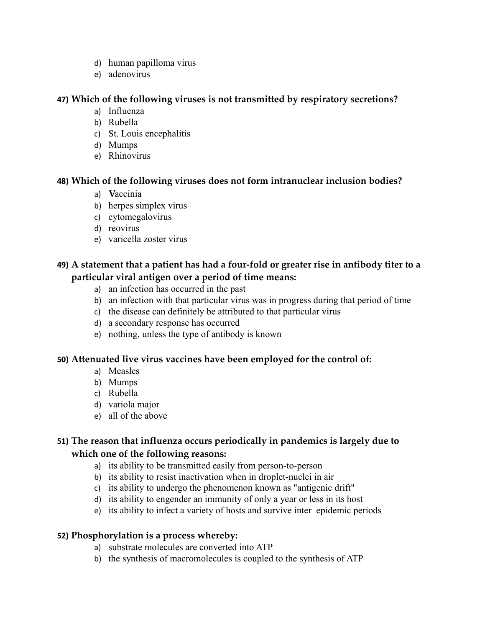- d) human papilloma virus
- e) adenovirus

### **47) Which of the following viruses is not transmitted by respiratory secretions?**

- a) Influenza
- b) Rubella
- c) St. Louis encephalitis
- d) Mumps
- e) Rhinovirus

## **48) Which of the following viruses does not form intranuclear inclusion bodies?**

- a) **V**accinia
- b) herpes simplex virus
- c) cytomegalovirus
- d) reovirus
- e) varicella zoster virus

# **49) A statement that a patient has had a four-fold or greater rise in antibody titer to a particular viral antigen over a period of time means:**

- a) an infection has occurred in the past
- b) an infection with that particular virus was in progress during that period of time
- c) the disease can definitely be attributed to that particular virus
- d) a secondary response has occurred
- e) nothing, unless the type of antibody is known

## **50) Attenuated live virus vaccines have been employed for the control of:**

- a) Measles
- b) Mumps
- c) Rubella
- d) variola major
- e) all of the above

# **51) The reason that influenza occurs periodically in pandemics is largely due to which one of the following reasons:**

- a) its ability to be transmitted easily from person-to-person
- b) its ability to resist inactivation when in droplet-nuclei in air
- c) its ability to undergo the phenomenon known as "antigenic drift"
- d) its ability to engender an immunity of only a year or less in its host
- e) its ability to infect a variety of hosts and survive inter–epidemic periods

## **52) Phosphorylation is a process whereby:**

- a) substrate molecules are converted into ATP
- b) the synthesis of macromolecules is coupled to the synthesis of ATP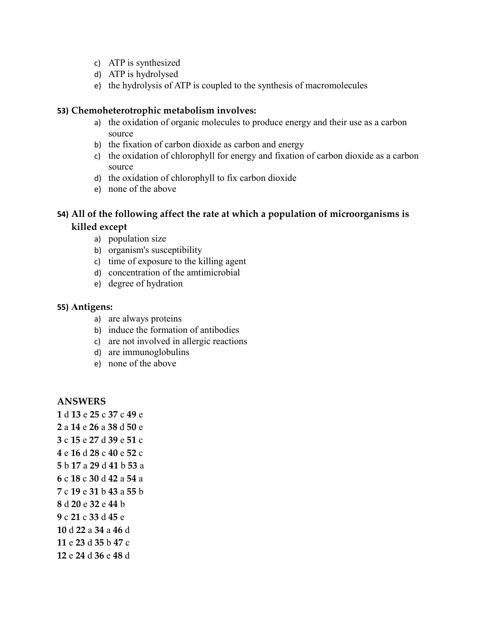- c) ATP is synthesized
- d) ATP is hydrolysed
- e) the hydrolysis of ATP is coupled to the synthesis of macromolecules

#### **53) Chemoheterotrophic metabolism involves:**

- a) the oxidation of organic molecules to produce energy and their use as a carbon source
- b) the fixation of carbon dioxide as carbon and energy
- c) the oxidation of chlorophyll for energy and fixation of carbon dioxide as a carbon source
- d) the oxidation of chlorophyll to fix carbon dioxide
- e) none of the above

### **54) All of the following affect the rate at which a population of microorganisms is killed except**

- a) population size
- b) organism's susceptibility
- c) time of exposure to the killing agent
- d) concentration of the amtimicrobial
- e) degree of hydration

#### **55) Antigens:**

- a) are always proteins
- b) induce the formation of antibodies
- c) are not involved in allergic reactions
- d) are immunoglobulins
- e) none of the above

#### **ANSWERS**

d **13** e **25** c **37** c **49** e a **14** e **26** a **38** d **50** e c **15** e **27** d **39** e **51** c e **16** d **28** c **40** e **52** c b **17** a **29** d **41** b **53** a c **18** c **30** d **42** a **54** a c **19** e **31** b **43** a **55** b d **20** e **32** e **44** b c **21** c **33** d **45** e d **22** a **34** a **46** d e **23** d **35** b **47** c e **24** d **36** e **48** d